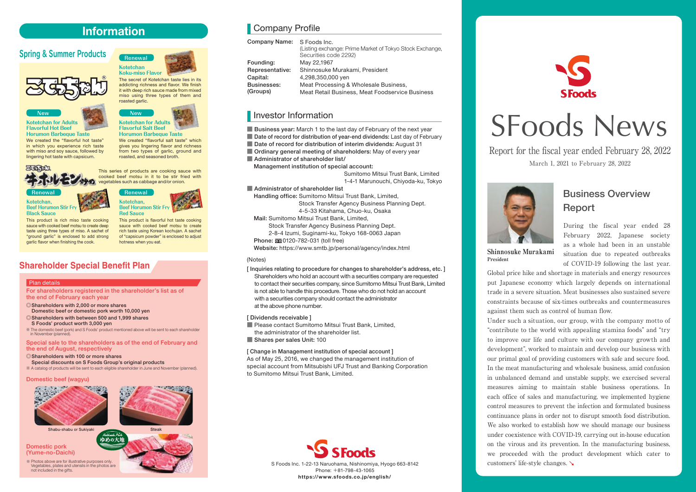## **Information**

## Spring & Summer Products



**New**



**Kotetchan Koku-miso Flavor Renewal**

**Flavorful Salt Beef Horumon Barbeque Taste**

The secret of Kotetchan taste lies in its addicting richness and flavor. We finish it with deep rich sauce made from mixed miso using three types of them and

We created "flavorful salt taste" which gives you lingering flavor and richness from two types of garlic, ground and roasted, and seasoned broth.

**Kotetchan for Adults Flavorful Hot Beef Horumon Barbeque Taste**

We created the "flavorful hot taste" in which you experience rich taste with miso and soy sauce, followed by lingering hot taste with capsicum.



This series of products are cooking sauce with cooked beef motsu in it to be stir fried with egetables such as cabbage and/or onion.

**Renewal Kotetchan, Beef Horumon Stir Fr Black Sauce**



**Beef Horumon Stir Fry Red Sauce**

This product is rich miso taste cooking sauce with cooked beef motsu to create deep taste using three types of miso. A sachet of "ground garlic" is enclosed to add strong garlic flavor when finishing the cook.

This product is flavorful hot taste cooking sauce with cooked beef motsu to create rich taste using Korean kochujan. A sachet of "capsicum powder" is enclosed to adjust hotness when you eat.

## **Shareholder Special Benefit Plan**

#### Plan details

For shareholders registered in the shareholder's list as of the end of February each year

- ◎Shareholders with 2,000 or more shares Domestic beef or domestic pork worth 10,000 yen
- ◎Shareholders with between 500 and 1,999 shares
- S Foods' product worth 3,000 yen ※ The domestic beef (pork) and S Foods' product mentioned above will be sent to each shareholder in November (planned).

Special sale to the shareholders as of the end of February and the end of August, respectively

◎Shareholders with 100 or more shares Special discounts on S Foods Group's original products

※ A catalog of products will be sent to each eligible shareholder in June and November (planned).

ゆめの大川

#### Domestic beef (wagyu)





**Shabu-shabu or Sukiyaki** Shabu-shabu or Sukiyaki

Domestic pork (Yume-no-Daichi)

※ Photos above are for illustrative purposes only. Vegetables, plates and utensils in the photos are not included in the gifts.



Company Profile

| Company Name: S Foods Inc. | (Listing exchange: Prime Market of Tokyo Stock Exchange,<br>Securities code 2292) |  |  |
|----------------------------|-----------------------------------------------------------------------------------|--|--|
| Founding:                  | May 22,1967                                                                       |  |  |
| Representative:            | Shinnosuke Murakami, President                                                    |  |  |
| Capital:                   | 4,298,350,000 yen                                                                 |  |  |
| Businesses:                | Meat Processing & Wholesale Business,                                             |  |  |
| (Groups)                   | Meat Retail Business, Meat Foodservice Business                                   |  |  |

## Investor Information

■ Business year: March 1 to the last day of February of the next year ■ Date of record for distribution of year-end dividends: Last day of February

- Date of record for distribution of interim dividends: August 31
- Ordinary general meeting of shareholders: May of every year
- Administrator of shareholder list/

Management institution of special account:

 Sumitomo Mitsui Trust Bank, Limited 1-4-1 Marunouchi, Chiyoda-ku, Tokyo

#### ■ Administrator of shareholder list

 Handling office: Sumitomo Mitsui Trust Bank, Limited, Stock Transfer Agency Business Planning Dept.

4-5-33 Kitahama, Chuo-ku, Osaka

Mail: Sumitomo Mitsui Trust Bank, Limited,

Stock Transfer Agency Business Planning Dept.

2-8-4 Izumi, Suginami-ku, Tokyo 168-0063 Japan

Phone: 00 0120-782-031 (toll free)

Website: https://www.smtb.jp/personal/agency/index.html

#### (Notes)

[ Inquiries relating to procedure for changes to shareholder's address, etc. ] Shareholders who hold an account with a securities company are requested to contact their securities company, since Sumitomo Mitsui Trust Bank, Limited is not able to handle this procedure. Those who do not hold an account with a securities company should contact the administrator at the above phone number.

### [ Dividends receivable ]

■ Please contact Sumitomo Mitsui Trust Bank, Limited, the administrator of the shareholder list. **■** Shares per sales Unit: 100

### [ Change in Management institution of special account ]

As of May 25, 2016, we changed the management institution of special account from Mitsubishi UFJ Trust and Banking Corporation to Sumitomo Mitsui Trust Bank, Limited.





# SFoods News

Report for the fiscal year ended February 28, 2022 March 1, 2021 to February 28, 2022



## Business Overview Report

During the fiscal year ended 28 February 2022, Japanese society as a whole had been in an unstable situation due to repeated outbreaks of COVID-19 following the last year.

**Shinnosuke Murakami President**

Global price hike and shortage in materials and energy resources put Japanese economy which largely depends on international trade in a severe situation. Meat businesses also sustained severe constraints because of six-times outbreaks and countermeasures against them such as control of human flow.

Under such a situation, our group, with the company motto of "contribute to the world with appealing stamina foods" and "try to improve our life and culture with our company growth and development", worked to maintain and develop our business with our primal goal of providing customers with safe and secure food. In the meat manufacturing and wholesale business, amid confusion in unbalanced demand and unstable supply, we exercised several measures aiming to maintain stable business operations. In each office of sales and manufacturing, we implemented hygiene control measures to prevent the infection and formulated business continuance plans in order not to disrupt smooth food distribution. We also worked to establish how we should manage our business under coexistence with COVID-19, carrying out in-house education on the virous and its prevention. In the manufacturing business, we proceeded with the product development which cater to customers' life-style changes.